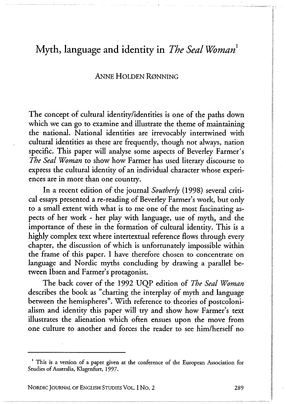### **ANNE HOLDEN RØNNING**

The concept of cultural identity/identities is one of the paths down which we can go to examine and illustrate the theme of maintaining the national. National identities are irrevocably intertwined with cultural identities as these are frequently, though not always, nation specific. This paper will analyse some aspects of Beverley Farmer's *The Seal Woman* to show how Farmer has used literary discourse to express the cultural identity of an individual character whose experiences are in more than one country.

In a recent edition of the journal *Southerly* (1998) several critical essays presented a re-reading of Beverley Farmer's work, but only to a small extent with what is to me one of the most fascinating aspects of her work - her play with language, use of myth, and the importance of these in the formation of cultural identity. This is a highly complex text where intertextual reference flows through every chapter, the discussion of which is unfortunately impossible within the frame of this paper. I have therefore chosen to concentrate on language and Nordic myths concluding by drawing a parallel between Ibsen and Farmer's protagonist.

The back cover of the 1992 UQP edition of *The Seal Woman*  describes the book as "charting the interplay of myth and language between the hemispheres". With reference to theories of postcolonialism and identity this paper will try and show how Farmer's text illustrates the alienation which often ensues upon the move from one culture to another and forces the reader to see him/herself no

NORDIC JOURNAL OF ENGLISH STUDIES VOL. I NO. 2 **289** 

**<sup>1</sup> This is a version of a paper given at the conference of the European Association for Studies of Australia, Klagenfurt, 1997 .**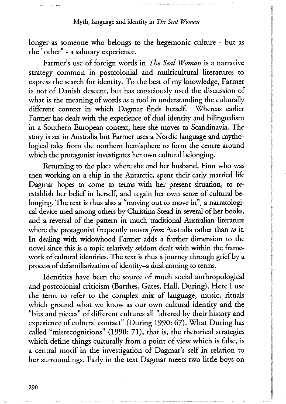longer as someone who belongs to the hegemonic culture - but as the "other" - a salutary experience.

Farmer's use of foreign words in *The Seal Woman* is a narrative strategy common in postcolonial and multicultural literatures to express the search for identity. To the best of my knowledge, Farmer is not of Danish descent, but has consciously used the discussion of what is the meaning of words as a tool in understanding the culturally different context in which Dagmar finds herself. Whereas earlier Farmer has dealt with the experience of dual identity and bilingualism in a Southern European context, here she moves to Scandinavia. The story is set in Australia but Farmer uses a Nordic language and mythological tales from the northern hemisphere to form the centre around which the protagonist investigates her own cultural belonging.

Returning to the place where she and her husband, Finn who was then working on a ship in the Antarctic, spent their early married life Dagmar hopes to come to terms with her present situation, to reestablish her belief in herself, and regain her own sense of cultural belonging. The text is thus also a "moving out to move in", a narratological device used among others by Christina Stead in several of her books, and a reversal of the pattern in much traditional Australian literature where the protagonist frequendy moves *from* Australia rather than *to* it. In dealing with widowhood Farmer adds a further dimension to the novel since this is a topic relatively seldom dealt with within the framework of cultural identities. The text is thus a journey through grief by a process of defamiliarization of identity—a dual coming to terms.

Identities have been the source of much social anthropological and postcolonial criticism (Barthes, Gates, Hall, During). Here I use the term to refer to the complex mix of language, music, rituals which ground what we know as our own cultural identity and the "bits and pieces" of different cultures all "altered by their history and experience of cultural contact" (During 1990: 67). What During has called "misrecognitions" (1990: 71), that is, the rhetorical strategies which define things culturally from a point of view which is false, is a central motif in the investigation of Dagmar's self in relation to her surroundings. Early in the text Dagmar meets two little boys on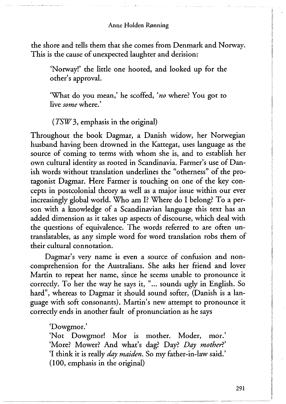the shore and tells them that she comes from Denmark and Norway. This is the cause of unexpected laughter and derision:

'Norway!' the little one hooted, and looked up for the other's approval.

'What do you mean,' he scoffed, *'no* where? You got to live *some* where.'

*(TSW3,* emphasis in the original)

Throughout the book Dagmar, a Danish widow, her Norwegian husband having been drowned in the Kattegat, uses language as the source of coming to terms with whom she is, and to establish her own cultural identity as rooted in Scandinavia. Farmer's use of Danish words without translation underlines the "otherness" of the protagonist Dagmar. Here Farmer is touching on one of the key concepts in postcolonial theory as well as a major issue within our ever increasingly global world. Who am I? Where do I belong? To a person with a knowledge of a Scandinavian language this text has an added dimension as it takes up aspects of discourse, which deal with the questions of equivalence. The words referred to are often untranslatables, as any simple word for word translation robs them of their cultural connotation.

Dagmar's very name is even a source of confusion and noncomprehension for the Australians. She asks her friend and lover Martin to repeat her name, since he seems unable to pronounce it correctly. To her the way he says it, "... sounds ugly in English. So hard", whereas to Dagmar it should sound softer, (Danish is a language with soft consonants). Martin's new attempt to pronounce it correctly ends in another fault of pronunciation as he says

'Dowgmor.'

'Not Dowgmor! Mor is mother. Moder, mor.' 'More? Mower? And what's dag? Day? Day mother?' 'I think it is really *day maiden.* So my father-in-law said.' (100, emphasis in the original)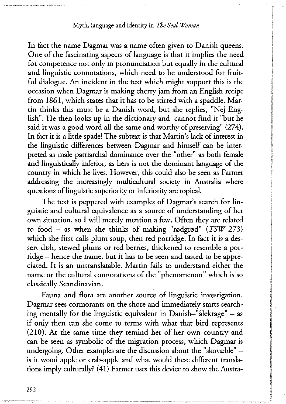In fact the name Dagmar was a name often given to Danish queens. One of the fascinating aspects of language is that it implies the need for competence not only in pronunciation but equally in the cultural and linguistic connotations, which need to be understood for fruitful dialogue. An incident in the text which might support this is the occasion when Dagmar is making cherry jam from an English recipe from 1861, which states that it has to be stirred with a spaddle. Martin thinks this must be a Danish word, but she replies, "Nej English". He then looks up in the dictionary and cannot find it "but he said it was a good word all the same and worthy of preserving" (274). In fact it is a litde spade! The subtext is that Martin's lack of interest in the linguistic differences between Dagmar and himself can be interpreted as male patriarchal dominance over the "other" as both female and linguistically inferior, as hers is not the dominant language of the country in which he lives. However, this could also be seen as Farmer addressing the increasingly multicultural society in Australia where questions of linguistic superiority or inferiority are topical.

The text is peppered with examples of Dagmar's search for linguistic and cultural equivalence as a source of understanding of her own situation, so I will merely mention a few. Often they are related to food — as when she thinks of making "rødgrød" *(TSW* 273) which she first calls plum soup, then red porridge. In fact it is a dessert dish, stewed plums or red berries, thickened to resemble a porridge — hence the name, but it has to be seen and tasted to be appreciated. It is an untranslatable. Martin fails to understand either the name or the cultural connotations of the "phenomenon" which is so classically Scandinavian.

Fauna and flora are another source of linguistic investigation. Dagmar sees cormorants on the shore and immediately starts searching mentally for the linguistic equivalent in Danish-"ålekrage" — as if only then can she come to terms with what that bird represents (210). At the same time they remind her of her own country and can be seen as symbolic of the migration process, which Dagmar is undergoing. Other examples are the discussion about the "skovæble" is it wood apple or crab-apple and what would these different translations imply culturally? (41) Farmer uses this device to show the Austra-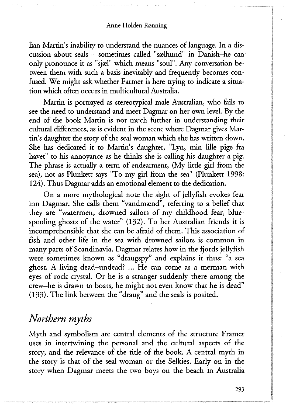lian Martin's inability to understand the nuances of language. In a discussion about seals — sometimes called "sælhund" in Danish-he can only pronounce it as "sjæl" which means "soul". Any conversation between them with such a basis inevitably and frequendy becomes confused. We might ask whether Farmer is here trying to indicate a situation which often occurs in multicultural Australia.

Martin is portrayed as stereotypical male Australian, who fails to see the need to understand and meet Dagmar on her own level. By the end of the book Martin is not much further in understanding their cultural differences, as is evident in the scene where Dagmar gives Martin's daughter the story of the seal woman which she has written down. She has dedicated it to Martin's daughter, "Lyn, min lille pige fra havet" to his annoyance as he thinks she is calling his daughter a pig. The phrase is actually a term of endearment, (My little girl from the sea), not as Plunkett says "To my girl from the sea" (Plunkett 1998: 124). Thus Dagmar adds an emotional element to the dedication.

On a more mythological note the sight of jellyfish evokes fear inn Dagmar. She calls them "vandmænd", referring to a belief that they are "watermen, drowned sailors of my childhood fear, bluespooling ghosts of the water" (132). To her Australian friends it is incomprehensible that she can be afraid of them. This association of fish and other life in the sea with drowned sailors is common in many parts of Scandinavia. Dagmar relates how in the fjords jellyfish were sometimes known as "draugspy" and explains it thus: "a sea ghost. A living dead-undead? ... He can come as a merman with eyes of rock crystal. Or he is a stranger suddenly there among the crew—he is drawn to boats, he might not even know that he is dead" (133). The link between the "draug" and the seals is posited.

## *Northern myths*

Myth and symbolism are central elements of the structure Framer uses in intertwining the personal and the cultural aspects of the story, and the relevance of the title of the book. A central myth in the story is that of the seal woman or the Selkies. Early on in the story when Dagmar meets the two boys on the beach in Australia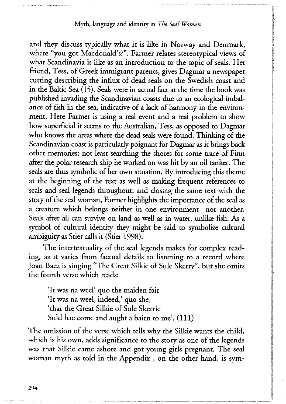and they discuss typically what it is like in Norway and Denmark, where "you got Macdonald's?". Farmer relates stereotypical views of what Scandinavia is like as an introduction to the topic of seals. Her friend, Tess, of Greek immigrant parents, gives Dagmar a newspaper cutting describing the influx of dead seals on the Swedish coast and in the Baltic Sea (15). Seals were in actual fact at the time the book was published invading the Scandinavian coasts due to an ecological imbalance of fish in the sea, indicative of a lack of harmony in the environment. Here Farmer is using a real event and a real problem to show how superficial it seems to the Australian, Tess, as opposed to Dagmar who knows the areas where the dead seals were found. Thinking of the Scandinavian coast is particularly poignant for Dagmar as it brings back other memories; not least searching the shores for some trace of Finn after the polar research ship he worked on was hit by an oil tanker. The seals are thus symbolic of her own situation. By introducing this theme at the beginning of the text as well as making frequent references to seals and seal legends throughout, and closing the same text with the story of the seal woman, Farmer highlights the importance of the seal as a creature which belongs neither in one environment nor another. Seals after all can survive on land as well as in water, unlike fish. As a symbol of cultural identity they might be said to symbolize cultural ambiguity as Stier calls it (Stier 1998).

The intertextuality of the seal legends makes for complex reading, as it varies from factual details to listening to a record where Joan Baez is singing "The Great Silkie of Sule Skerry", but she omits the fourth verse which reads:

'It was na weel' quo the maiden fair 'It was na weel, indeed,' quo she, 'that the Great Silkie of Sule Skerrie Suld hae come and aught a bairn to me'. (111)

The omission of the verse which tells why the Silkie wants the child, which is his own, adds significance to the story as one of the legends was that Silkie came ashore and got young girls pregnant. The seal woman myth as told in the Appendix , on the other hand, is sym-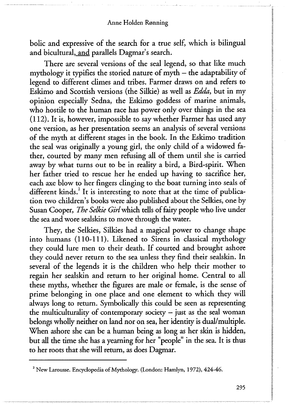bolic and expressive of the search for a true self, which is bilingual and bicultural, and parallels Dagmar's search.

There are several versions of the seal legend, so that like much mythology it typifies the storied nature of myth – the adaptability of legend to different climes and tribes. Farmer draws on and refers to Eskimo and Scottish versions (the Silkie) as well as *Edda,* but in my opinion especially Sedna, the Eskimo goddess of marine animals, who hostile to the human race has power only over things in the sea (112). It is, however, impossible to say whether Farmer has used any one version, as her presentation seems an analysis of several versions of the myth at different stages in the book. In the Eskimo tradition the seal was originally a young girl, the only child of a widowed father, courted by many men refusing all of them until she is carried away by what turns out to be in reality a bird, a Bird-spirit. When her father tried to rescue her he ended up having to sacrifice her, each axe blow to her fingers clinging to the boat turning into seals of different kinds.<sup>2</sup> It is interesting to note that at the time of publication two children's books were also published about the Selkies, one by Susan Cooper, *The Selkie Girl* which tells of fairy people who live under the sea and wore sealskins to move through the water.

They, the Selkies, Silkies had a magical power to change shape into humans (110-111). Likened to Sirens in classical mythology they could lure men to their death. If courted and brought ashore they could never return to the sea unless they find their sealskin. In several of the legends it is the children who help their mother to regain her sealskin and return to her original home. Central to all these myths, whether the figures are male or female, is the sense of prime belonging in one place and one element to which they will always long to return. Symbolically this could be seen as representing the multiculturality of contemporary society  $-$  just as the seal woman belongs wholly neither on land nor on sea, her identity is dual/multiple. When ashore she can be a human being as long as her skin is hidden, but all the time she has a yearning for her "people" in the sea. It is thus to her roots that she will return, as does Dagmar.

**<sup>2</sup> New Larousse. Encyclopedia of Mythology. (London: Hamlyn, 1972), 424-46.**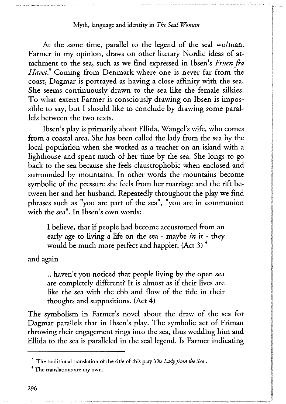At the same time, parallel to the legend of the seal wo/man, Farmer in my opinion, draws on other literary Nordic ideas of attachment to the sea, such as we find expressed in Ibsen's *Fruen fra Havet?* Coming from Denmark where one is never far from the coast, Dagmar is portrayed as having a close affinity with the sea. She seems continuously drawn to the sea like the female silkies. To what extent Farmer is consciously drawing on Ibsen is impossible to say, but I should like to conclude by drawing some parallels between the two texts.

Ibsen's play is primarily about Ellida, Wangel's wife, who comes from a coastal area. She has been called the lady from the sea by the local population when she worked as a teacher on an island with a lighthouse and spent much of her time by the sea. She longs to go back to the sea because she feels claustrophobic when enclosed and surrounded by mountains. In other words the mountains become symbolic of the pressure she feels from her marriage and the rift between her and her husband. Repeatedly throughout the play we find phrases such as "you are part of the sea", "you are in communion with the sea". In Ibsen's own words:

I believe, that if people had become accustomed from an early age to living a life on the sea - maybe *in* it - they would be much more perfect and happier. (Act 3) $4$ 

and again

.. haven't you noticed that people living by the open sea are completely different? It is almost as if their lives are like the sea with the ebb and flow of the tide in their thoughts and suppositions. (Act 4)

The symbolism in Farmer's novel about the draw of the sea for Dagmar parallels that in Ibsen's play. The symbolic act of Friman throwing their engagement rings into the sea, thus wedding him and Ellida to the sea is paralleled in the seal legend. Is Farmer indicating

**<sup>3</sup> The traditional translation of the tide of this play** *The Lady from the Sea .* 

**<sup>4</sup> The translations are my own.**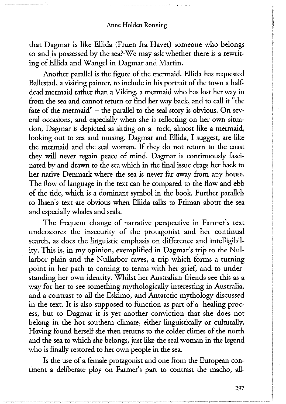that Dagmar is like Ellida (Fruen fra Havet) someone who belongs to and is possessed by the sea?-We may ask whether there is a rewriting of Ellida and Wangel in Dagmar and Martin.

Another parallel is the figure of the mermaid. Ellida has requested Ballestad, a visiting painter, to include in his portrait of the town a halfdead mermaid rather than a Viking, a mermaid who has lost her way in from the sea and cannot return or find her way back, and to call it "the fate of the mermaid" – the parallel to the seal story is obvious. On several occasions, and especially when she is reflecting on her own situation, Dagmar is depicted as sitting on a rock, almost like a mermaid, looking out to sea and musing. Dagmar and Ellida, I suggest, are like the mermaid and the seal woman. If they do not return to the coast they will never regain peace of mind. Dagmar is continuously fascinated by and drawn to the sea which in the final issue drags her back to her native Denmark where the sea is never far away from any house. The flow of language in the text can be compared to the flow and ebb of the tide, which is a dominant symbol in the book. Further parallels to Ibsen's text are obvious when Ellida talks to Friman about the sea and especially whales and seals.

The frequent change of narrative perspective in Farmer's text underscores the insecurity of the protagonist and her continual search, as does the linguistic emphasis on difference and intelligibility. This is, in my opinion, exemplified in Dagmar's trip to the Nullarbor plain and the Nullarbor caves, a trip which forms a turning point in her path to coming to terms with her grief, and to understanding her own identity. Whilst her Australian friends see this as a way for her to see something mythologically interesting in Australia, and a contrast to all the Eskimo, and Antarctic mythology discussed in the text. It is also supposed to function as part of a healing process, but to Dagmar it is yet another conviction that she does not belong in the hot southern climate, either linguistically or culturally. Having found herself she then returns to the colder climes of the north and the sea to which she belongs, just like the seal woman in the legend who is finally restored to her own people in the sea.

Is the use of a female protagonist and one from the European continent a deliberate ploy on Farmer's part to contrast the macho, all-